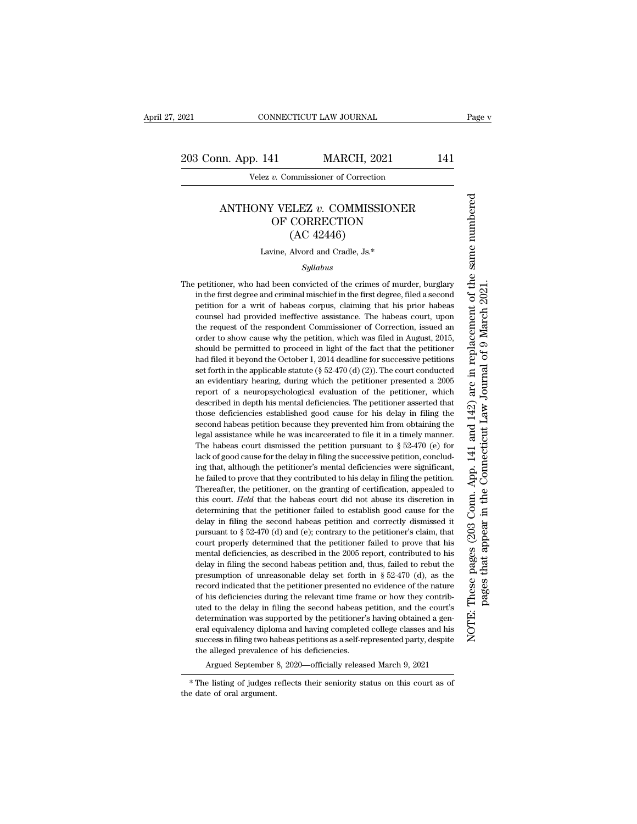Velez *v.* Commissioner of Correction

## ANTHONY VELEZ *v.* COMMISSIONER OF CORRECTION (AC 42446)

Lavine, Alvord and Cradle, Js.\*

*Syllabus*

The petitioner, who had been convicted of the crimes of murder, burglary in the first degree and criminal mischief in the first degree, filed a second petition for a writ of habeas corpus, claiming that his prior habeas counsel had provided ineffective assistance. The habeas court, upon the request of the respondent Commissioner of Correction, issued an order to show cause why the petition, which was filed in August, 2015, should be permitted to proceed in light of the fact that the petitioner had filed it beyond the October 1, 2014 deadline for successive petitions set forth in the applicable statute (§ 52-470 (d) (2)). The court conducted an evidentiary hearing, during which the petitioner presented a 2005 report of a neuropsychological evaluation of the petitioner, which described in depth his mental deficiencies. The petitioner asserted that those deficiencies established good cause for his delay in filing the second habeas petition because they prevented him from obtaining the legal assistance while he was incarcerated to file it in a timely manner. The habeas court dismissed the petition pursuant to § 52-470 (e) for lack of good cause for the delay in filing the successive petition, concluding that, although the petitioner's mental deficiencies were significant, he failed to prove that they contributed to his delay in filing the petition. Thereafter, the petitioner, on the granting of certification, appealed to this court. *Held* that the habeas court did not abuse its discretion in determining that the petitioner failed to establish good cause for the delay in filing the second habeas petition and correctly dismissed it pursuant to § 52-470 (d) and (e); contrary to the petitioner's claim, that court properly determined that the petitioner failed to prove that his mental deficiencies, as described in the 2005 report, contributed to his delay in filing the second habeas petition and, thus, failed to rebut the presumption of unreasonable delay set forth in § 52-470 (d), as the record indicated that the petitioner presented no evidence of the nature of his deficiencies during the relevant time frame or how they contributed to the delay in filing the second habeas petition, and the court's determination was supported by the petitioner's having obtained a general equivalency diploma and having completed college classes and his success in filing two habeas petitions as a self-represented party, despite the alleged prevalence of his deficiencies.

Argued September 8, 2020—officially released March 9, 2021

NOTE: These pages (203 Conn. App. 141 and 142) are in replacement of the same numbered

NOTE:

These pages (203 Conn. App. 141 and 142) are in replacement of the same numbered

pages that appear in the Connecticut Law Journal of 9 March 2021.

pages that appear in the Connecticut Law Journal of 9 March 2021.

<sup>\*</sup> The listing of judges reflects their seniority status on this court as of the date of oral argument.